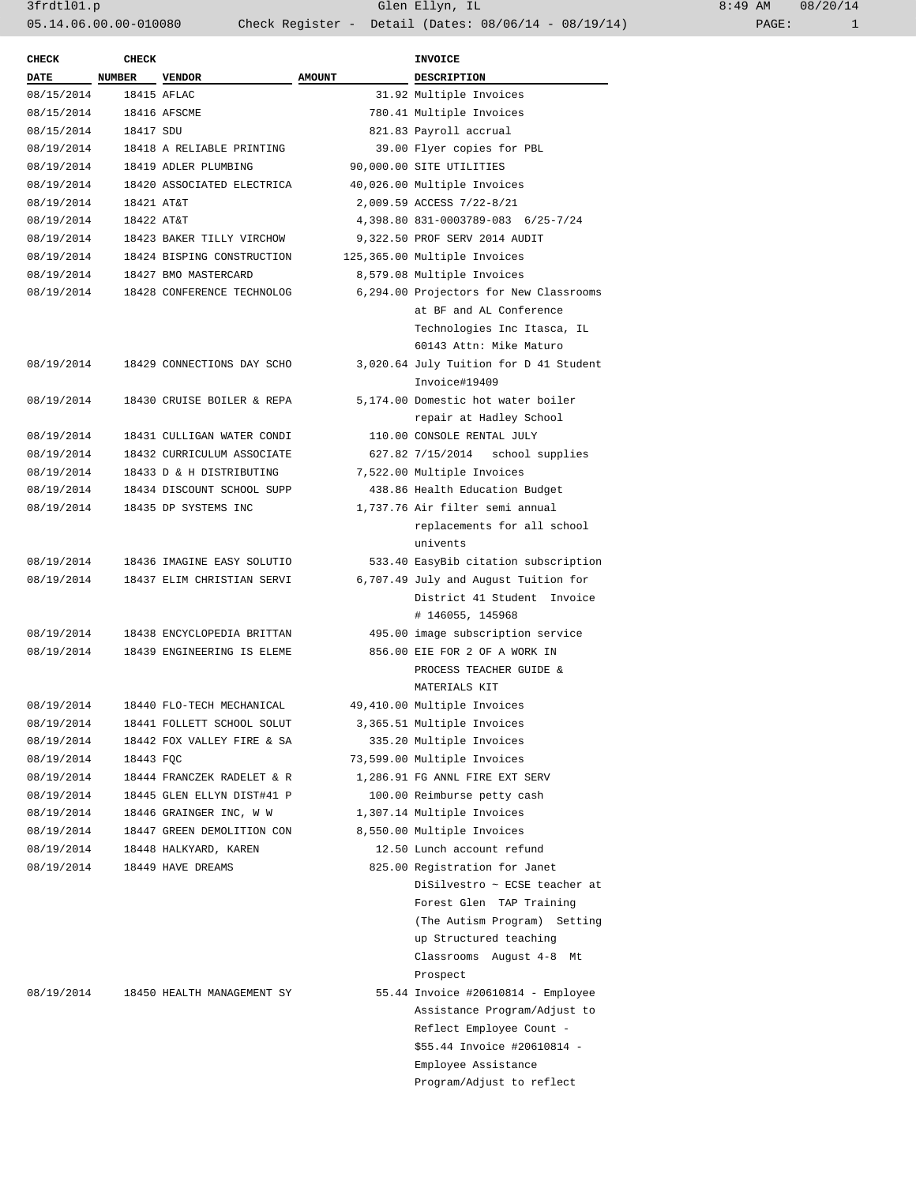| <b>CHECK</b> | <b>CHECK</b>  |                            |                          | <b>INVOICE</b>                         |  |
|--------------|---------------|----------------------------|--------------------------|----------------------------------------|--|
| <b>DATE</b>  | <b>NUMBER</b> | <b>VENDOR</b>              | <b>AMOUNT</b>            | <b>DESCRIPTION</b>                     |  |
| 08/15/2014   |               | 18415 AFLAC                |                          | 31.92 Multiple Invoices                |  |
| 08/15/2014   |               | 18416 AFSCME               | 780.41 Multiple Invoices |                                        |  |
| 08/15/2014   | 18417 SDU     |                            |                          | 821.83 Payroll accrual                 |  |
| 08/19/2014   |               | 18418 A RELIABLE PRINTING  |                          | 39.00 Flyer copies for PBL             |  |
| 08/19/2014   |               | 18419 ADLER PLUMBING       |                          | 90,000.00 SITE UTILITIES               |  |
| 08/19/2014   |               | 18420 ASSOCIATED ELECTRICA |                          | 40,026.00 Multiple Invoices            |  |
| 08/19/2014   | 18421 AT&T    |                            |                          | 2,009.59 ACCESS 7/22-8/21              |  |
| 08/19/2014   | 18422 AT&T    |                            |                          | 4,398.80 831-0003789-083 6/25-7/24     |  |
| 08/19/2014   |               | 18423 BAKER TILLY VIRCHOW  |                          | 9,322.50 PROF SERV 2014 AUDIT          |  |
| 08/19/2014   |               | 18424 BISPING CONSTRUCTION |                          | 125,365.00 Multiple Invoices           |  |
| 08/19/2014   |               | 18427 BMO MASTERCARD       |                          | 8,579.08 Multiple Invoices             |  |
| 08/19/2014   |               | 18428 CONFERENCE TECHNOLOG |                          | 6,294.00 Projectors for New Classrooms |  |
|              |               |                            |                          | at BF and AL Conference                |  |
|              |               |                            |                          | Technologies Inc Itasca, IL            |  |
|              |               |                            |                          | 60143 Attn: Mike Maturo                |  |
| 08/19/2014   |               | 18429 CONNECTIONS DAY SCHO |                          | 3,020.64 July Tuition for D 41 Student |  |
|              |               |                            |                          | Invoice#19409                          |  |
| 08/19/2014   |               | 18430 CRUISE BOILER & REPA |                          | 5,174.00 Domestic hot water boiler     |  |
|              |               |                            |                          | repair at Hadley School                |  |
| 08/19/2014   |               | 18431 CULLIGAN WATER CONDI |                          | 110.00 CONSOLE RENTAL JULY             |  |
| 08/19/2014   |               | 18432 CURRICULUM ASSOCIATE |                          | 627.82 7/15/2014 school supplies       |  |
| 08/19/2014   |               | 18433 D & H DISTRIBUTING   |                          | 7,522.00 Multiple Invoices             |  |
| 08/19/2014   |               | 18434 DISCOUNT SCHOOL SUPP |                          | 438.86 Health Education Budget         |  |
| 08/19/2014   |               | 18435 DP SYSTEMS INC       |                          | 1,737.76 Air filter semi annual        |  |
|              |               |                            |                          | replacements for all school            |  |
|              |               |                            |                          | univents                               |  |
|              |               |                            |                          |                                        |  |
| 08/19/2014   |               | 18436 IMAGINE EASY SOLUTIO |                          | 533.40 EasyBib citation subscription   |  |
| 08/19/2014   |               | 18437 ELIM CHRISTIAN SERVI |                          | 6,707.49 July and August Tuition for   |  |
|              |               |                            |                          | District 41 Student Invoice            |  |
|              |               |                            |                          | # 146055, 145968                       |  |
| 08/19/2014   |               | 18438 ENCYCLOPEDIA BRITTAN |                          | 495.00 image subscription service      |  |
| 08/19/2014   |               | 18439 ENGINEERING IS ELEME |                          | 856.00 EIE FOR 2 OF A WORK IN          |  |
|              |               |                            |                          | PROCESS TEACHER GUIDE &                |  |
|              |               |                            |                          | MATERIALS KIT                          |  |
| 08/19/2014   |               | 18440 FLO-TECH MECHANICAL  |                          | 49,410.00 Multiple Invoices            |  |
| 08/19/2014   |               | 18441 FOLLETT SCHOOL SOLUT |                          | 3,365.51 Multiple Invoices             |  |
| 08/19/2014   |               | 18442 FOX VALLEY FIRE & SA |                          | 335.20 Multiple Invoices               |  |
| 08/19/2014   | 18443 FQC     |                            |                          | 73,599.00 Multiple Invoices            |  |
| 08/19/2014   |               | 18444 FRANCZEK RADELET & R |                          | 1,286.91 FG ANNL FIRE EXT SERV         |  |
| 08/19/2014   |               | 18445 GLEN ELLYN DIST#41 P |                          | 100.00 Reimburse petty cash            |  |
| 08/19/2014   |               | 18446 GRAINGER INC, W W    |                          | 1,307.14 Multiple Invoices             |  |
| 08/19/2014   |               | 18447 GREEN DEMOLITION CON |                          | 8,550.00 Multiple Invoices             |  |
| 08/19/2014   |               | 18448 HALKYARD, KAREN      |                          | 12.50 Lunch account refund             |  |
| 08/19/2014   |               | 18449 HAVE DREAMS          |                          | 825.00 Registration for Janet          |  |
|              |               |                            |                          | DiSilvestro ~ ECSE teacher at          |  |
|              |               |                            |                          | Forest Glen TAP Training               |  |
|              |               |                            |                          | (The Autism Program) Setting           |  |
|              |               |                            |                          | up Structured teaching                 |  |
|              |               |                            |                          | Classrooms August 4-8 Mt               |  |
|              |               |                            |                          | Prospect                               |  |
| 08/19/2014   |               | 18450 HEALTH MANAGEMENT SY |                          | 55.44 Invoice #20610814 - Employee     |  |
|              |               |                            |                          | Assistance Program/Adjust to           |  |
|              |               |                            |                          | Reflect Employee Count -               |  |
|              |               |                            |                          | \$55.44 Invoice #20610814 -            |  |
|              |               |                            |                          | Employee Assistance                    |  |
|              |               |                            |                          | Program/Adjust to reflect              |  |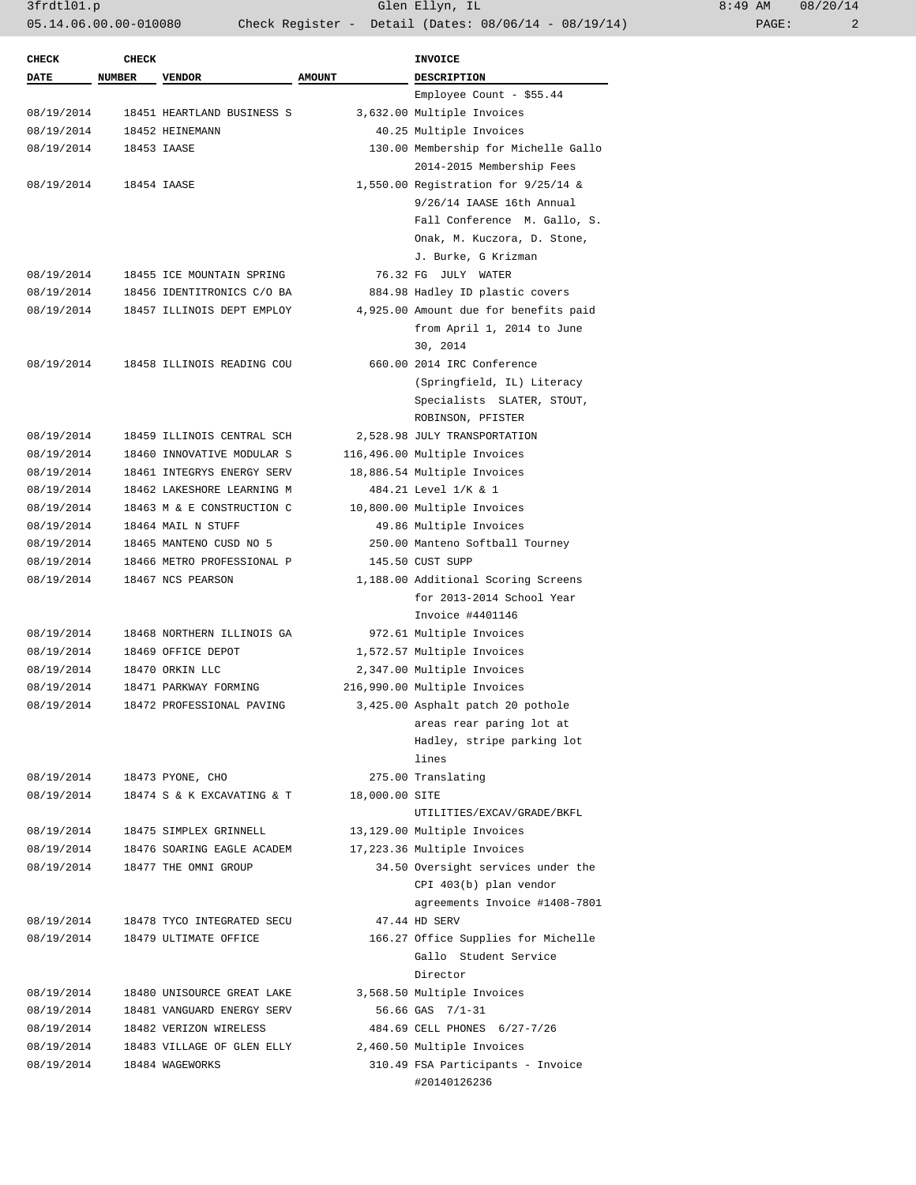3frdtl01.p Glen Ellyn, IL 8:49 AM 08/20/14 05.14.06.00.00-010080 Check Register - Detail (Dates: 08/06/14 - 08/19/14)

| <b>CHECK</b> | <b>CHECK</b>  |                            |                | <b>INVOICE</b>                        |
|--------------|---------------|----------------------------|----------------|---------------------------------------|
| DATE         | <b>NUMBER</b> | <b>VENDOR</b>              | <b>AMOUNT</b>  | <b>DESCRIPTION</b>                    |
|              |               |                            |                | Employee Count - $$55.44$             |
| 08/19/2014   |               | 18451 HEARTLAND BUSINESS S |                | 3,632.00 Multiple Invoices            |
| 08/19/2014   |               | 18452 HEINEMANN            |                | 40.25 Multiple Invoices               |
| 08/19/2014   |               | 18453 IAASE                |                | 130.00 Membership for Michelle Gallo  |
|              |               |                            |                | 2014-2015 Membership Fees             |
| 08/19/2014   |               | 18454 IAASE                |                | 1,550.00 Registration for 9/25/14 &   |
|              |               |                            |                | 9/26/14 IAASE 16th Annual             |
|              |               |                            |                | Fall Conference M. Gallo, S.          |
|              |               |                            |                | Onak, M. Kuczora, D. Stone,           |
|              |               |                            |                | J. Burke, G Krizman                   |
| 08/19/2014   |               | 18455 ICE MOUNTAIN SPRING  |                | 76.32 FG JULY WATER                   |
| 08/19/2014   |               | 18456 IDENTITRONICS C/O BA |                | 884.98 Hadley ID plastic covers       |
| 08/19/2014   |               | 18457 ILLINOIS DEPT EMPLOY |                | 4,925.00 Amount due for benefits paid |
|              |               |                            |                | from April 1, 2014 to June            |
|              |               |                            |                | 30, 2014                              |
| 08/19/2014   |               | 18458 ILLINOIS READING COU |                | 660.00 2014 IRC Conference            |
|              |               |                            |                | (Springfield, IL) Literacy            |
|              |               |                            |                | Specialists SLATER, STOUT,            |
|              |               |                            |                | ROBINSON, PFISTER                     |
| 08/19/2014   |               | 18459 ILLINOIS CENTRAL SCH |                | 2,528.98 JULY TRANSPORTATION          |
| 08/19/2014   |               | 18460 INNOVATIVE MODULAR S |                | 116,496.00 Multiple Invoices          |
| 08/19/2014   |               | 18461 INTEGRYS ENERGY SERV |                | 18,886.54 Multiple Invoices           |
| 08/19/2014   |               | 18462 LAKESHORE LEARNING M |                | 484.21 Level 1/K & 1                  |
| 08/19/2014   |               | 18463 M & E CONSTRUCTION C |                | 10,800.00 Multiple Invoices           |
| 08/19/2014   |               | 18464 MAIL N STUFF         |                | 49.86 Multiple Invoices               |
| 08/19/2014   |               | 18465 MANTENO CUSD NO 5    |                | 250.00 Manteno Softball Tourney       |
| 08/19/2014   |               | 18466 METRO PROFESSIONAL P |                | 145.50 CUST SUPP                      |
| 08/19/2014   |               | 18467 NCS PEARSON          |                | 1,188.00 Additional Scoring Screens   |
|              |               |                            |                | for 2013-2014 School Year             |
|              |               |                            |                | Invoice #4401146                      |
| 08/19/2014   |               | 18468 NORTHERN ILLINOIS GA |                | 972.61 Multiple Invoices              |
| 08/19/2014   |               | 18469 OFFICE DEPOT         |                | 1,572.57 Multiple Invoices            |
| 08/19/2014   |               | 18470 ORKIN LLC            |                | 2,347.00 Multiple Invoices            |
| 08/19/2014   |               | 18471 PARKWAY FORMING      |                | 216,990.00 Multiple Invoices          |
| 08/19/2014   |               | 18472 PROFESSIONAL PAVING  |                | 3,425.00 Asphalt patch 20 pothole     |
|              |               |                            |                | areas rear paring lot at              |
|              |               |                            |                | Hadley, stripe parking lot            |
|              |               |                            |                | lines                                 |
| 08/19/2014   |               | 18473 PYONE, CHO           |                | 275.00 Translating                    |
| 08/19/2014   |               | 18474 S & K EXCAVATING & T | 18,000.00 SITE |                                       |
|              |               |                            |                | UTILITIES/EXCAV/GRADE/BKFL            |
| 08/19/2014   |               | 18475 SIMPLEX GRINNELL     |                | 13,129.00 Multiple Invoices           |
| 08/19/2014   |               | 18476 SOARING EAGLE ACADEM |                | 17,223.36 Multiple Invoices           |
| 08/19/2014   |               | 18477 THE OMNI GROUP       |                | 34.50 Oversight services under the    |
|              |               |                            |                | CPI 403(b) plan vendor                |
|              |               |                            |                | agreements Invoice #1408-7801         |
| 08/19/2014   |               | 18478 TYCO INTEGRATED SECU |                | 47.44 HD SERV                         |
| 08/19/2014   |               | 18479 ULTIMATE OFFICE      |                | 166.27 Office Supplies for Michelle   |
|              |               |                            |                | Gallo Student Service                 |
|              |               |                            |                | Director                              |
| 08/19/2014   |               | 18480 UNISOURCE GREAT LAKE |                | 3,568.50 Multiple Invoices            |
| 08/19/2014   |               | 18481 VANGUARD ENERGY SERV |                | 56.66 GAS 7/1-31                      |
| 08/19/2014   |               | 18482 VERIZON WIRELESS     |                | 484.69 CELL PHONES 6/27-7/26          |
| 08/19/2014   |               | 18483 VILLAGE OF GLEN ELLY |                | 2,460.50 Multiple Invoices            |
| 08/19/2014   |               | 18484 WAGEWORKS            |                | 310.49 FSA Participants - Invoice     |
|              |               |                            |                | #20140126236                          |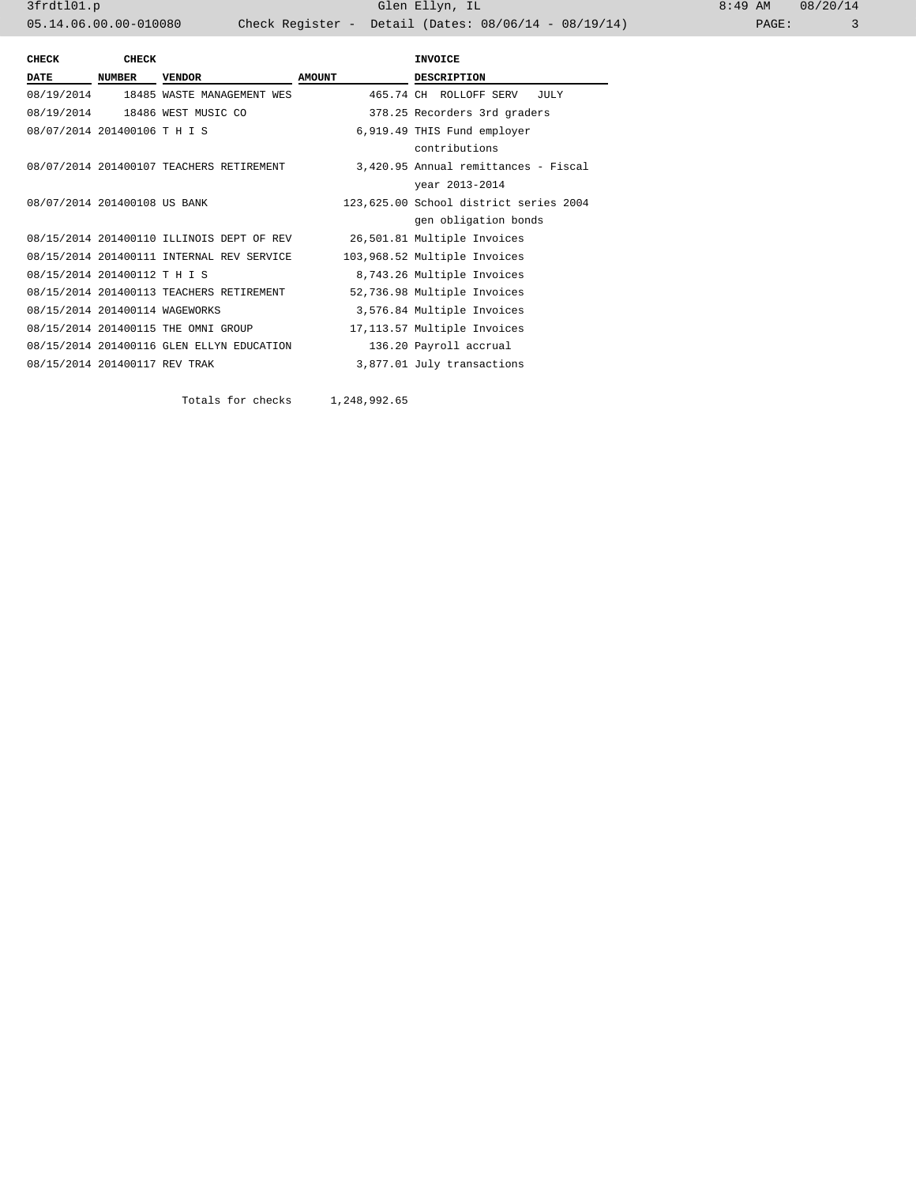3frdtl01.p Glen Ellyn, IL 8:49 AM 08/20/14 05.14.06.00.00-010080 Check Register - Detail (Dates: 08/06/14 - 08/19/14)

| <b>CHECK</b>                   | <b>CHECK</b>  |                                           |               | <b>INVOICE</b>                         |  |  |
|--------------------------------|---------------|-------------------------------------------|---------------|----------------------------------------|--|--|
| DATE                           | <b>NUMBER</b> | <b>VENDOR</b>                             | <b>AMOUNT</b> | <b>DESCRIPTION</b>                     |  |  |
|                                |               | 08/19/2014 18485 WASTE MANAGEMENT WES     |               | 465.74 CH ROLLOFF SERV<br>JULY         |  |  |
|                                |               | 08/19/2014  18486 WEST MUSIC CO           |               | 378.25 Recorders 3rd graders           |  |  |
| 08/07/2014 201400106 T H I S   |               |                                           |               | 6,919.49 THIS Fund employer            |  |  |
|                                |               |                                           |               | contributions                          |  |  |
|                                |               | 08/07/2014 201400107 TEACHERS RETIREMENT  |               | 3,420.95 Annual remittances - Fiscal   |  |  |
|                                |               |                                           |               | year 2013-2014                         |  |  |
| 08/07/2014 201400108 US BANK   |               |                                           |               | 123,625.00 School district series 2004 |  |  |
|                                |               |                                           |               | gen obligation bonds                   |  |  |
|                                |               | 08/15/2014 201400110 ILLINOIS DEPT OF REV |               | 26,501.81 Multiple Invoices            |  |  |
|                                |               | 08/15/2014 201400111 INTERNAL REV SERVICE |               | 103,968.52 Multiple Invoices           |  |  |
| 08/15/2014 201400112 T H I S   |               |                                           |               | 8,743.26 Multiple Invoices             |  |  |
|                                |               | 08/15/2014 201400113 TEACHERS RETIREMENT  |               | 52,736.98 Multiple Invoices            |  |  |
| 08/15/2014 201400114 WAGEWORKS |               |                                           |               | 3,576.84 Multiple Invoices             |  |  |
|                                |               | 08/15/2014 201400115 THE OMNI GROUP       |               | 17,113.57 Multiple Invoices            |  |  |
|                                |               | 08/15/2014 201400116 GLEN ELLYN EDUCATION |               | 136.20 Payroll accrual                 |  |  |
| 08/15/2014 201400117 REV TRAK  |               |                                           |               | 3,877.01 July transactions             |  |  |
|                                |               |                                           |               |                                        |  |  |

Totals for checks 1,248,992.65